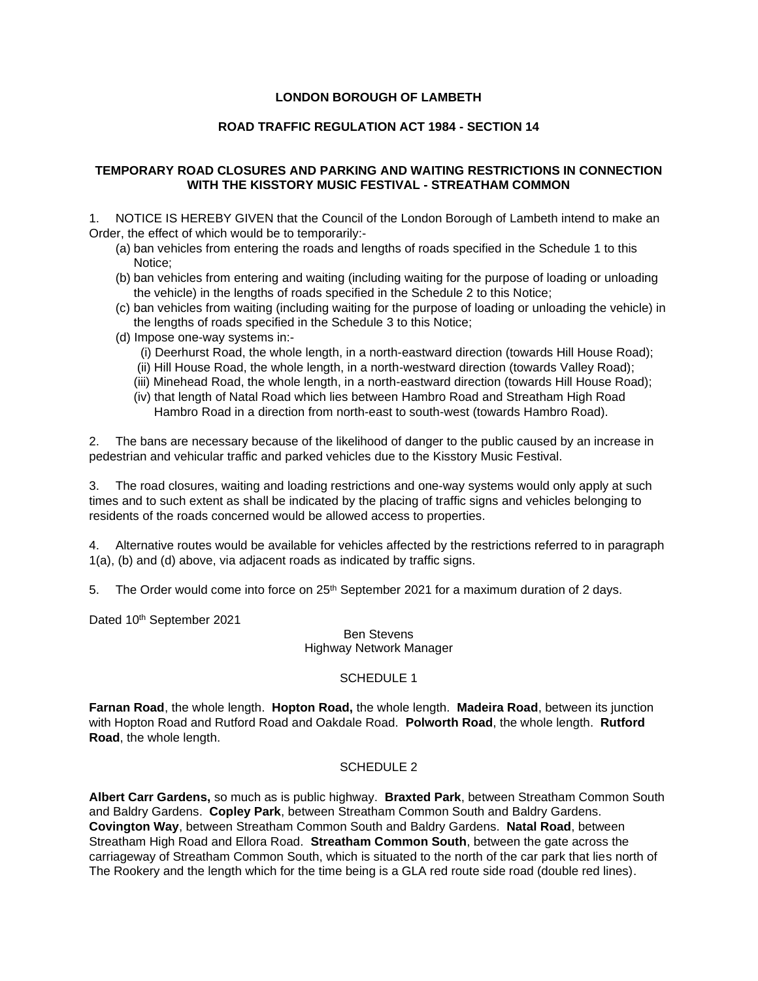# **LONDON BOROUGH OF LAMBETH**

# **ROAD TRAFFIC REGULATION ACT 1984 - SECTION 14**

#### **TEMPORARY ROAD CLOSURES AND PARKING AND WAITING RESTRICTIONS IN CONNECTION WITH THE KISSTORY MUSIC FESTIVAL - STREATHAM COMMON**

1. NOTICE IS HEREBY GIVEN that the Council of the London Borough of Lambeth intend to make an Order, the effect of which would be to temporarily:-

- (a) ban vehicles from entering the roads and lengths of roads specified in the Schedule 1 to this Notice;
- (b) ban vehicles from entering and waiting (including waiting for the purpose of loading or unloading the vehicle) in the lengths of roads specified in the Schedule 2 to this Notice;
- (c) ban vehicles from waiting (including waiting for the purpose of loading or unloading the vehicle) in the lengths of roads specified in the Schedule 3 to this Notice;
- (d) Impose one-way systems in:-
	- (i) Deerhurst Road, the whole length, in a north-eastward direction (towards Hill House Road);
	- (ii) Hill House Road, the whole length, in a north-westward direction (towards Valley Road);
	- (iii) Minehead Road, the whole length, in a north-eastward direction (towards Hill House Road);
	- (iv) that length of Natal Road which lies between Hambro Road and Streatham High Road Hambro Road in a direction from north-east to south-west (towards Hambro Road).

2. The bans are necessary because of the likelihood of danger to the public caused by an increase in pedestrian and vehicular traffic and parked vehicles due to the Kisstory Music Festival.

 times and to such extent as shall be indicated by the placing of traffic signs and vehicles belonging to 3. The road closures, waiting and loading restrictions and one-way systems would only apply at such residents of the roads concerned would be allowed access to properties.

4. Alternative routes would be available for vehicles affected by the restrictions referred to in paragraph 1(a), (b) and (d) above, via adjacent roads as indicated by traffic signs.

5. The Order would come into force on  $25<sup>th</sup>$  September 2021 for a maximum duration of 2 days.

Dated 10th September 2021

Ben Stevens Highway Network Manager

# SCHEDULE 1

 **Farnan Road**, the whole length. **Hopton Road,** the whole length. **Madeira Road**, between its junction with Hopton Road and Rutford Road and Oakdale Road. **Polworth Road**, the whole length. **Rutford Road**, the whole length.

# SCHEDULE 2

 **Albert Carr Gardens,** so much as is public highway. **Braxted Park**, between Streatham Common South **Covington Way**, between Streatham Common South and Baldry Gardens. **Natal Road**, between The Rookery and the length which for the time being is a GLA red route side road (double red lines). and Baldry Gardens. **Copley Park**, between Streatham Common South and Baldry Gardens. Streatham High Road and Ellora Road. **Streatham Common South**, between the gate across the carriageway of Streatham Common South, which is situated to the north of the car park that lies north of